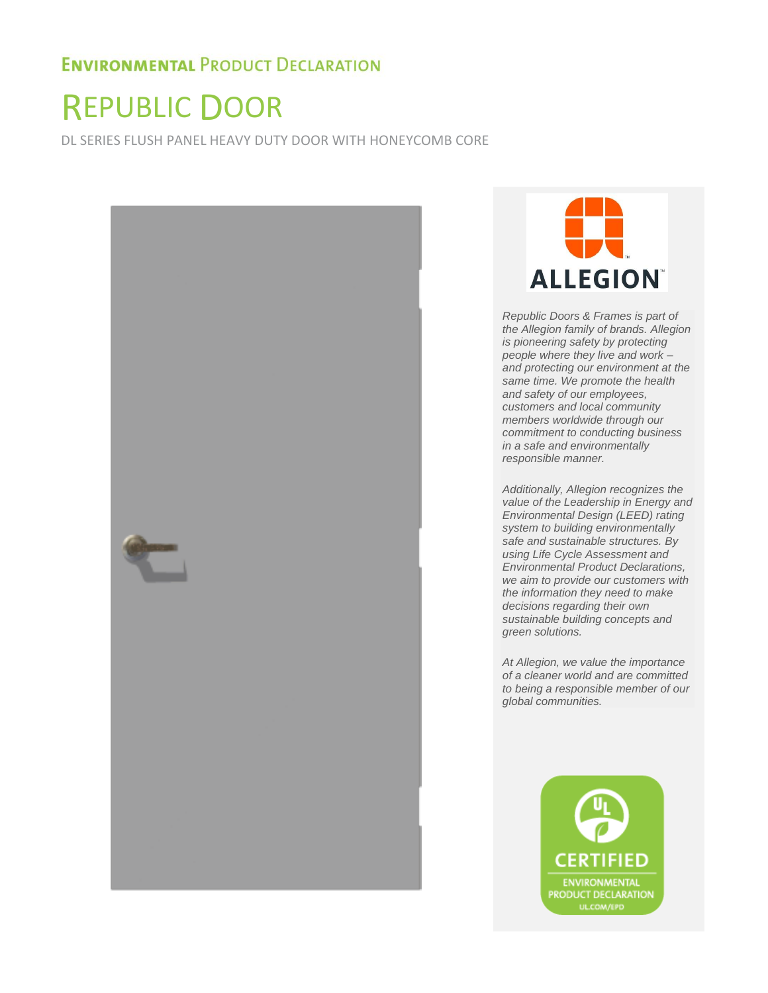# REPUBLIC DOOR

DL SERIES FLUSH PANEL HEAVY DUTY DOOR WITH HONEYCOMB CORE





*Republic Doors & Frames is part of the Allegion family of brands. Allegion is pioneering safety by protecting people where they live and work – and protecting our environment at the same time. We promote the health and safety of our employees, customers and local community members worldwide through our commitment to conducting business in a safe and environmentally responsible manner.* 

*Additionally, Allegion recognizes the value of the Leadership in Energy and Environmental Design (LEED) rating system to building environmentally safe and sustainable structures. By using Life Cycle Assessment and Environmental Product Declarations, we aim to provide our customers with the information they need to make decisions regarding their own sustainable building concepts and green solutions.* 

*At Allegion, we value the importance of a cleaner world and are committed to being a responsible member of our global communities.* 

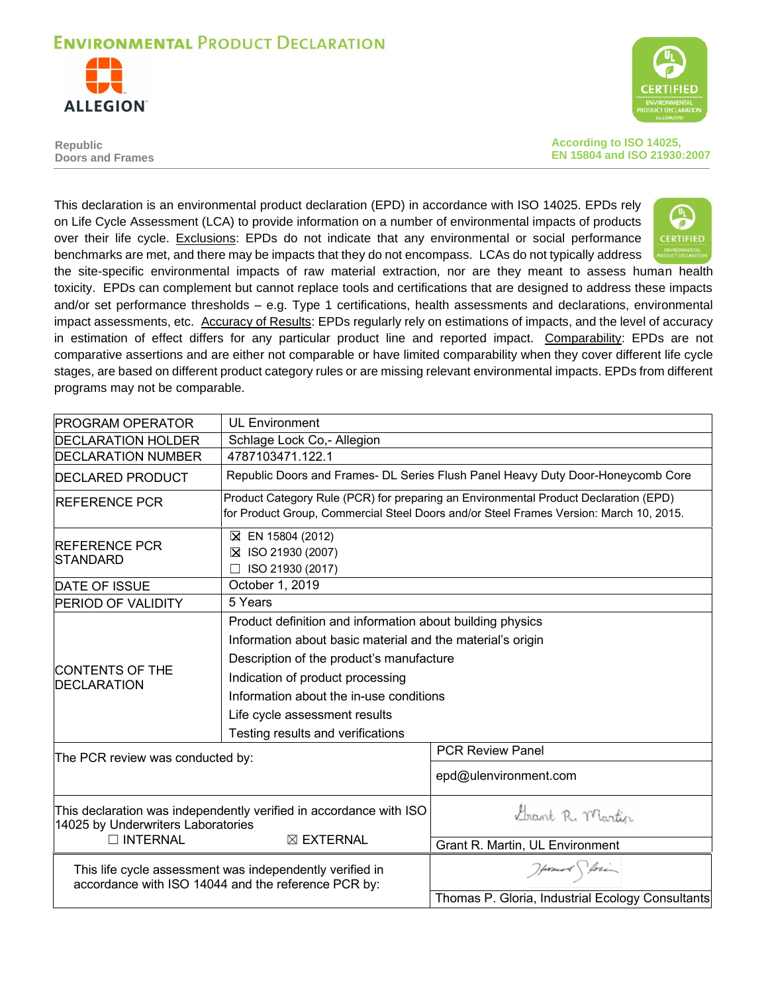



**Republic Doors and Frames** **According to ISO 14025, EN 15804 and ISO 21930:2007** 

This declaration is an environmental product declaration (EPD) in accordance with ISO 14025. EPDs rely on Life Cycle Assessment (LCA) to provide information on a number of environmental impacts of products over their life cycle. Exclusions: EPDs do not indicate that any environmental or social performance **CERTIFIED** benchmarks are met, and there may be impacts that they do not encompass. LCAs do not typically address the site-specific environmental impacts of raw material extraction, nor are they meant to assess human health toxicity. EPDs can complement but cannot replace tools and certifications that are designed to address these impacts

and/or set performance thresholds – e.g. Type 1 certifications, health assessments and declarations, environmental impact assessments, etc. Accuracy of Results: EPDs regularly rely on estimations of impacts, and the level of accuracy in estimation of effect differs for any particular product line and reported impact. Comparability: EPDs are not comparative assertions and are either not comparable or have limited comparability when they cover different life cycle stages, are based on different product category rules or are missing relevant environmental impacts. EPDs from different programs may not be comparable.

| <b>PROGRAM OPERATOR</b>                                                           | <b>UL Environment</b>                                                                                                                                                                                                                                                                                                    |                                                                                                                                                                                |  |  |
|-----------------------------------------------------------------------------------|--------------------------------------------------------------------------------------------------------------------------------------------------------------------------------------------------------------------------------------------------------------------------------------------------------------------------|--------------------------------------------------------------------------------------------------------------------------------------------------------------------------------|--|--|
| <b>DECLARATION HOLDER</b>                                                         | Schlage Lock Co,- Allegion                                                                                                                                                                                                                                                                                               |                                                                                                                                                                                |  |  |
| <b>DECLARATION NUMBER</b>                                                         | 4787103471.122.1                                                                                                                                                                                                                                                                                                         |                                                                                                                                                                                |  |  |
| <b>DECLARED PRODUCT</b>                                                           |                                                                                                                                                                                                                                                                                                                          | Republic Doors and Frames- DL Series Flush Panel Heavy Duty Door-Honeycomb Core                                                                                                |  |  |
| <b>IREFERENCE PCR</b>                                                             |                                                                                                                                                                                                                                                                                                                          | Product Category Rule (PCR) for preparing an Environmental Product Declaration (EPD)<br>for Product Group, Commercial Steel Doors and/or Steel Frames Version: March 10, 2015. |  |  |
| <b>REFERENCE PCR</b><br>STANDARD                                                  | ⊠ EN 15804 (2012)<br>⊠ ISO 21930 (2007)<br>ISO 21930 (2017)                                                                                                                                                                                                                                                              |                                                                                                                                                                                |  |  |
| <b>DATE OF ISSUE</b>                                                              | October 1, 2019                                                                                                                                                                                                                                                                                                          |                                                                                                                                                                                |  |  |
| <b>PERIOD OF VALIDITY</b>                                                         | 5 Years                                                                                                                                                                                                                                                                                                                  |                                                                                                                                                                                |  |  |
| <b>ICONTENTS OF THE</b><br><b>DECLARATION</b><br>The PCR review was conducted by: | Product definition and information about building physics<br>Information about basic material and the material's origin<br>Description of the product's manufacture<br>Indication of product processing<br>Information about the in-use conditions<br>Life cycle assessment results<br>Testing results and verifications | <b>PCR Review Panel</b>                                                                                                                                                        |  |  |
|                                                                                   |                                                                                                                                                                                                                                                                                                                          | epd@ulenvironment.com                                                                                                                                                          |  |  |
| 14025 by Underwriters Laboratories<br>$\Box$ INTERNAL                             | This declaration was independently verified in accordance with ISO<br>$\boxtimes$ EXTERNAL                                                                                                                                                                                                                               | Grant R. Martin<br>Grant R. Martin, UL Environment                                                                                                                             |  |  |
|                                                                                   | This life cycle assessment was independently verified in<br>accordance with ISO 14044 and the reference PCR by:                                                                                                                                                                                                          | Howard Stori<br>Thomas P. Gloria, Industrial Ecology Consultants                                                                                                               |  |  |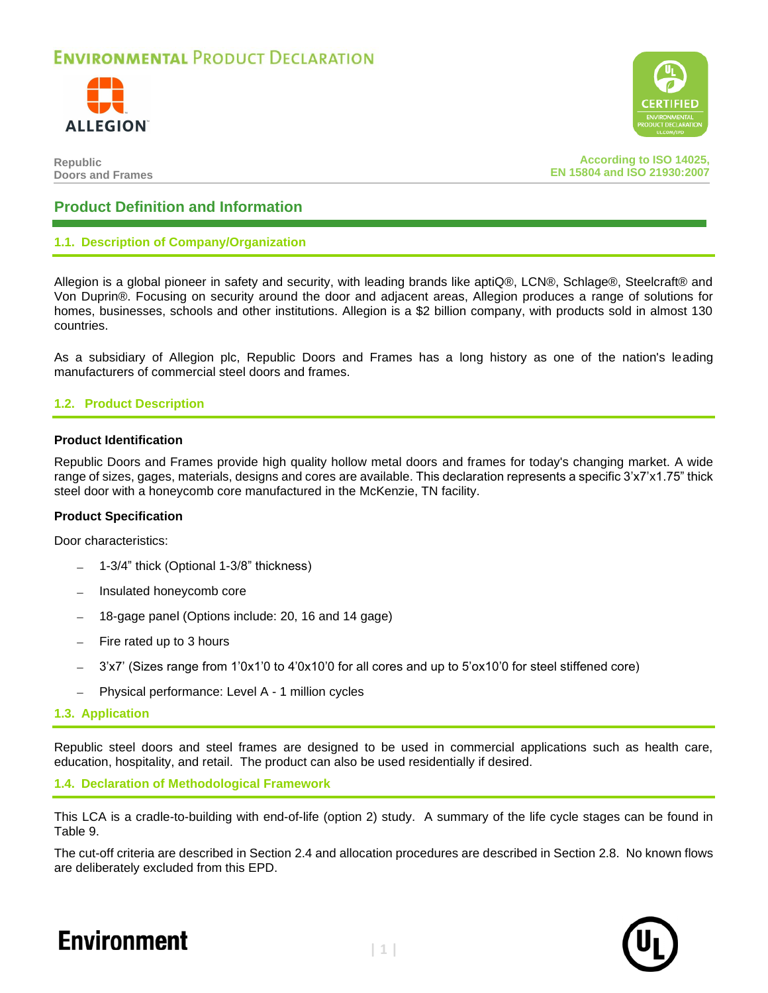



**Republic Doors and Frames**

**According to ISO 14025, EN 15804 and ISO 21930:2007**

### **Product Definition and Information**

### **1.1. Description of Company/Organization**

Allegion is a global pioneer in safety and security, with leading brands like aptiQ®, LCN®, Schlage®, Steelcraft® and Von Duprin®. Focusing on security around the door and adjacent areas, Allegion produces a range of solutions for homes, businesses, schools and other institutions. Allegion is a \$2 billion company, with products sold in almost 130 countries.

As a subsidiary of Allegion plc, Republic Doors and Frames has a long history as one of the nation's leading manufacturers of commercial steel doors and frames.

### **1.2. Product Description**

### **Product Identification**

Republic Doors and Frames provide high quality hollow metal doors and frames for today's changing market. A wide range of sizes, gages, materials, designs and cores are available. This declaration represents a specific 3'x7'x1.75" thick steel door with a honeycomb core manufactured in the McKenzie, TN facility.

### **Product Specification**

Door characteristics:

- − 1-3/4" thick (Optional 1-3/8" thickness)
- − Insulated honeycomb core
- − 18-gage panel (Options include: 20, 16 and 14 gage)
- − Fire rated up to 3 hours
- − 3'x7' (Sizes range from 1'0x1'0 to 4'0x10'0 for all cores and up to 5'ox10'0 for steel stiffened core)
- − Physical performance: Level A 1 million cycles
- **1.3. Application**

Republic steel doors and steel frames are designed to be used in commercial applications such as health care, education, hospitality, and retail. The product can also be used residentially if desired.

### **1.4. Declaration of Methodological Framework**

This LCA is a cradle-to-building with end-of-life (option 2) study. A summary of the life cycle stages can be found in [Table 9.](#page-8-0)

The cut-off criteria are described in Section [2.4](#page-6-0) and allocation procedures are described in Section [2.8.](#page-7-0) No known flows are deliberately excluded from this EPD.



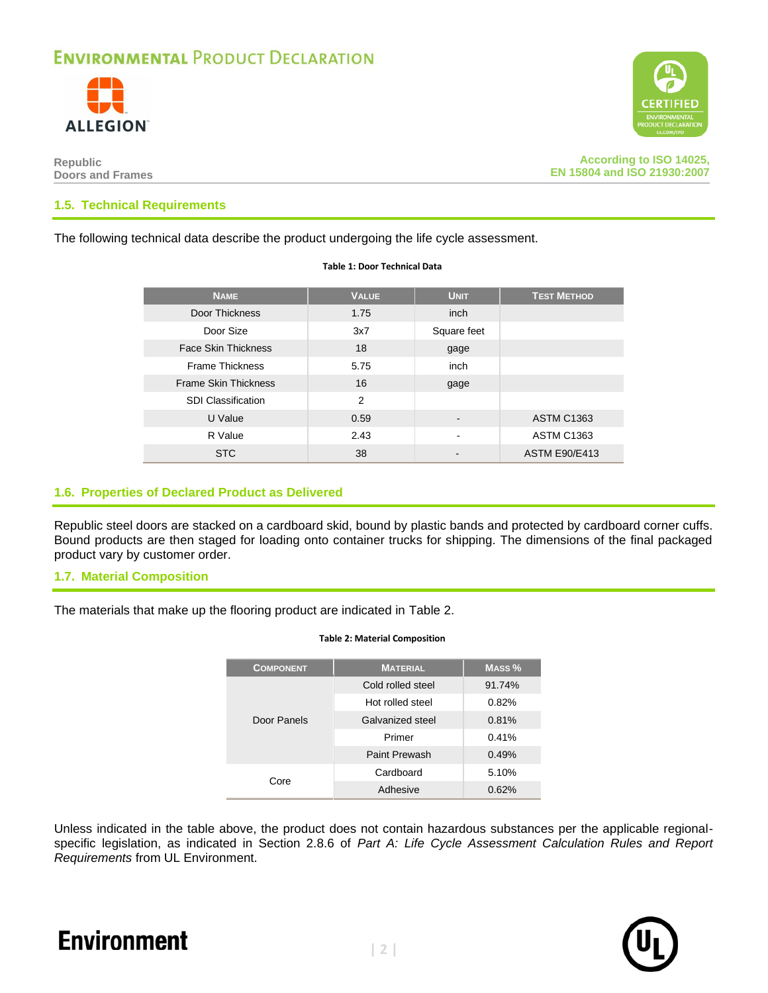



**According to ISO 14025, EN 15804 and ISO 21930:2007**

### **1.5. Technical Requirements**

The following technical data describe the product undergoing the life cycle assessment.

| <b>NAME</b>                 | <b>VALUE</b> | <b>UNIT</b> | <b>TEST METHOD</b>   |
|-----------------------------|--------------|-------------|----------------------|
| Door Thickness              | 1.75         | inch        |                      |
| Door Size                   | 3x7          | Square feet |                      |
| <b>Face Skin Thickness</b>  | 18           | gage        |                      |
| <b>Frame Thickness</b>      | 5.75         | inch        |                      |
| <b>Frame Skin Thickness</b> | 16           | gage        |                      |
| <b>SDI Classification</b>   | 2            |             |                      |
| U Value                     | 0.59         |             | <b>ASTM C1363</b>    |
| R Value                     | 2.43         | -           | <b>ASTM C1363</b>    |
| <b>STC</b>                  | 38           |             | <b>ASTM E90/E413</b> |

**Table 1: Door Technical Data**

### **1.6. Properties of Declared Product as Delivered**

Republic steel doors are stacked on a cardboard skid, bound by plastic bands and protected by cardboard corner cuffs. Bound products are then staged for loading onto container trucks for shipping. The dimensions of the final packaged product vary by customer order.

### **1.7. Material Composition**

<span id="page-3-0"></span>The materials that make up the flooring product are indicated in [Table 2.](#page-3-0)

| <b>COMPONENT</b> | <b>MATERIAL</b>   | MASS <sub>%</sub> |
|------------------|-------------------|-------------------|
|                  | Cold rolled steel | 91.74%            |
|                  | Hot rolled steel  | 0.82%             |
| Door Panels      | Galvanized steel  | 0.81%             |
|                  | Primer            | 0.41%             |
|                  | Paint Prewash     | 0.49%             |
| Core             | Cardboard         | 5.10%             |
|                  | Adhesive          | 0.62%             |

#### **Table 2: Material Composition**

Unless indicated in the table above, the product does not contain hazardous substances per the applicable regionalspecific legislation, as indicated in Section 2.8.6 of *Part A: Life Cycle Assessment Calculation Rules and Report Requirements* from UL Environment.

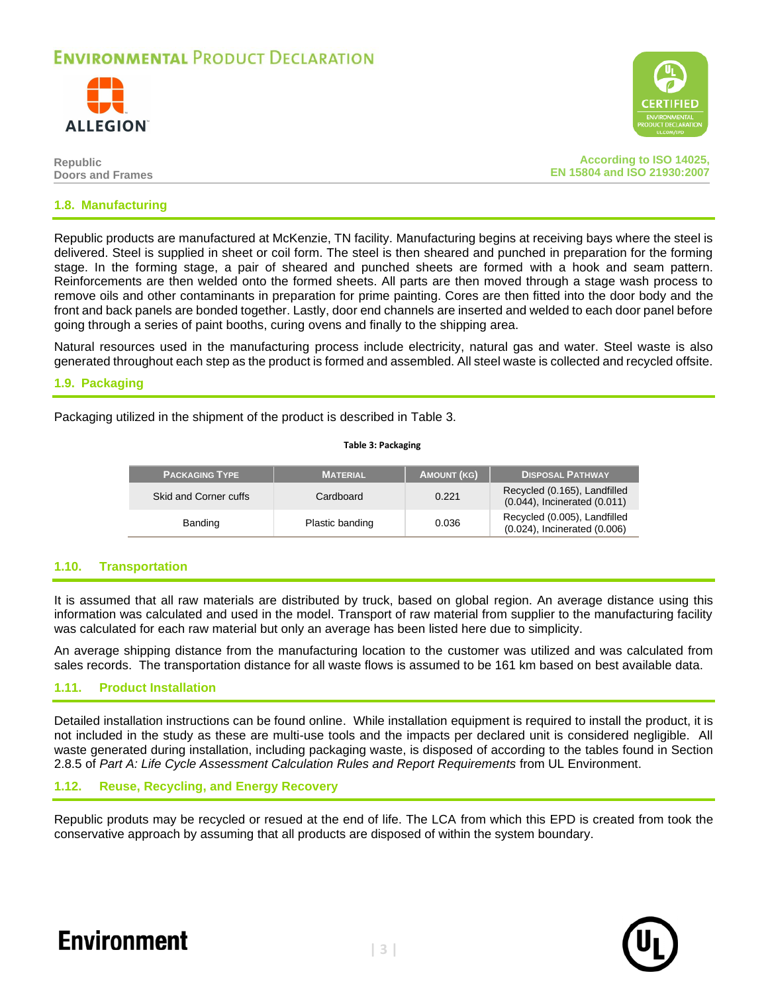



| Republic                |  |  |
|-------------------------|--|--|
| <b>Doors and Frames</b> |  |  |

**According to ISO 14025, EN 15804 and ISO 21930:2007**

### **1.8. Manufacturing**

Republic products are manufactured at McKenzie, TN facility. Manufacturing begins at receiving bays where the steel is delivered. Steel is supplied in sheet or coil form. The steel is then sheared and punched in preparation for the forming stage. In the forming stage, a pair of sheared and punched sheets are formed with a hook and seam pattern. Reinforcements are then welded onto the formed sheets. All parts are then moved through a stage wash process to remove oils and other contaminants in preparation for prime painting. Cores are then fitted into the door body and the front and back panels are bonded together. Lastly, door end channels are inserted and welded to each door panel before going through a series of paint booths, curing ovens and finally to the shipping area.

Natural resources used in the manufacturing process include electricity, natural gas and water. Steel waste is also generated throughout each step as the product is formed and assembled. All steel waste is collected and recycled offsite.

### **1.9. Packaging**

<span id="page-4-0"></span>Packaging utilized in the shipment of the product is described in [Table 3.](#page-4-0)

| <b>PACKAGING TYPE</b> | <b>MATERIAL</b> | <b>AMOUNT (KG)</b> | <b>DISPOSAL PATHWAY</b>                                      |
|-----------------------|-----------------|--------------------|--------------------------------------------------------------|
| Skid and Corner cuffs | Cardboard       | 0.221              | Recycled (0.165), Landfilled<br>(0.044), Incinerated (0.011) |
| Banding               | Plastic banding | 0.036              | Recycled (0.005), Landfilled<br>(0.024), Incinerated (0.006) |

**Table 3: Packaging**

### **1.10. Transportation**

It is assumed that all raw materials are distributed by truck, based on global region. An average distance using this information was calculated and used in the model. Transport of raw material from supplier to the manufacturing facility was calculated for each raw material but only an average has been listed here due to simplicity.

An average shipping distance from the manufacturing location to the customer was utilized and was calculated from sales records. The transportation distance for all waste flows is assumed to be 161 km based on best available data.

### **1.11. Product Installation**

Detailed installation instructions can be found online. While installation equipment is required to install the product, it is not included in the study as these are multi-use tools and the impacts per declared unit is considered negligible. All waste generated during installation, including packaging waste, is disposed of according to the tables found in Section 2.8.5 of *Part A: Life Cycle Assessment Calculation Rules and Report Requirements* from UL Environment.

### **1.12. Reuse, Recycling, and Energy Recovery**

Republic produts may be recycled or resued at the end of life. The LCA from which this EPD is created from took the conservative approach by assuming that all products are disposed of within the system boundary.



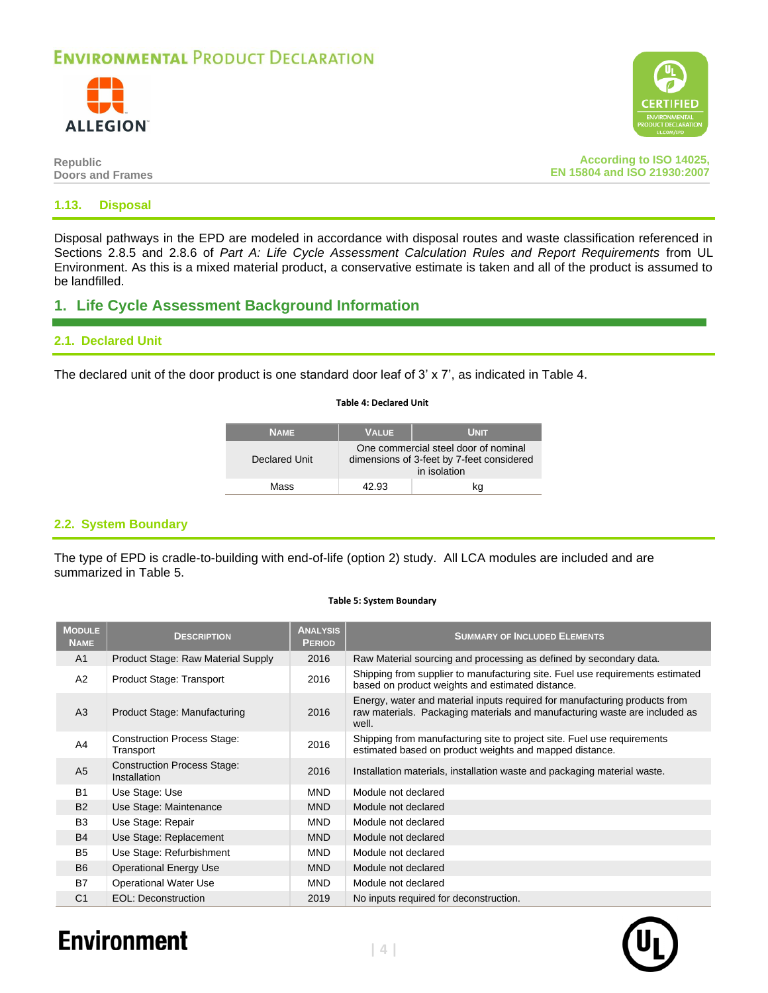



**Republic Doors and Frames**

**According to ISO 14025, EN 15804 and ISO 21930:2007**

### **1.13. Disposal**

Disposal pathways in the EPD are modeled in accordance with disposal routes and waste classification referenced in Sections 2.8.5 and 2.8.6 of *Part A: Life Cycle Assessment Calculation Rules and Report Requirements* from UL Environment. As this is a mixed material product, a conservative estimate is taken and all of the product is assumed to be landfilled.

### **1. Life Cycle Assessment Background Information**

### **2.1. Declared Unit**

<span id="page-5-0"></span>The declared unit of the door product is one standard door leaf of 3' x 7', as indicated in [Table 4.](#page-5-0)

#### **Table 4: Declared Unit**

| <b>NAME</b>   | <b>VALUE</b>                                                                                      | <b>UNIT</b> |
|---------------|---------------------------------------------------------------------------------------------------|-------------|
| Declared Unit | One commercial steel door of nominal<br>dimensions of 3-feet by 7-feet considered<br>in isolation |             |
| Mass          | 42.93.                                                                                            | kq          |

### **2.2. System Boundary**

The type of EPD is cradle-to-building with end-of-life (option 2) study. All LCA modules are included and are summarized in [Table 5.](#page-5-1)

### **Table 5: System Boundary**

<span id="page-5-1"></span>

| <b>MODULE</b><br><b>NAME</b> | <b>DESCRIPTION</b>                                 | <b>ANALYSIS</b><br><b>PERIOD</b> | <b>SUMMARY OF INCLUDED ELEMENTS</b>                                                                                                                               |
|------------------------------|----------------------------------------------------|----------------------------------|-------------------------------------------------------------------------------------------------------------------------------------------------------------------|
| A <sub>1</sub>               | Product Stage: Raw Material Supply                 | 2016                             | Raw Material sourcing and processing as defined by secondary data.                                                                                                |
| A2                           | Product Stage: Transport                           | 2016                             | Shipping from supplier to manufacturing site. Fuel use requirements estimated<br>based on product weights and estimated distance.                                 |
| A3                           | Product Stage: Manufacturing                       | 2016                             | Energy, water and material inputs required for manufacturing products from<br>raw materials. Packaging materials and manufacturing waste are included as<br>well. |
| A4                           | <b>Construction Process Stage:</b><br>Transport    | 2016                             | Shipping from manufacturing site to project site. Fuel use requirements<br>estimated based on product weights and mapped distance.                                |
| A <sub>5</sub>               | <b>Construction Process Stage:</b><br>Installation | 2016                             | Installation materials, installation waste and packaging material waste.                                                                                          |
| <b>B1</b>                    | Use Stage: Use                                     | <b>MND</b>                       | Module not declared                                                                                                                                               |
| <b>B2</b>                    | Use Stage: Maintenance                             | <b>MND</b>                       | Module not declared                                                                                                                                               |
| B <sub>3</sub>               | Use Stage: Repair                                  | <b>MND</b>                       | Module not declared                                                                                                                                               |
| <b>B4</b>                    | Use Stage: Replacement                             | <b>MND</b>                       | Module not declared                                                                                                                                               |
| B <sub>5</sub>               | Use Stage: Refurbishment                           | <b>MND</b>                       | Module not declared                                                                                                                                               |
| <b>B6</b>                    | <b>Operational Energy Use</b>                      | <b>MND</b>                       | Module not declared                                                                                                                                               |
| B7                           | <b>Operational Water Use</b>                       | <b>MND</b>                       | Module not declared                                                                                                                                               |
| C <sub>1</sub>               | EOL: Deconstruction                                | 2019                             | No inputs required for deconstruction.                                                                                                                            |

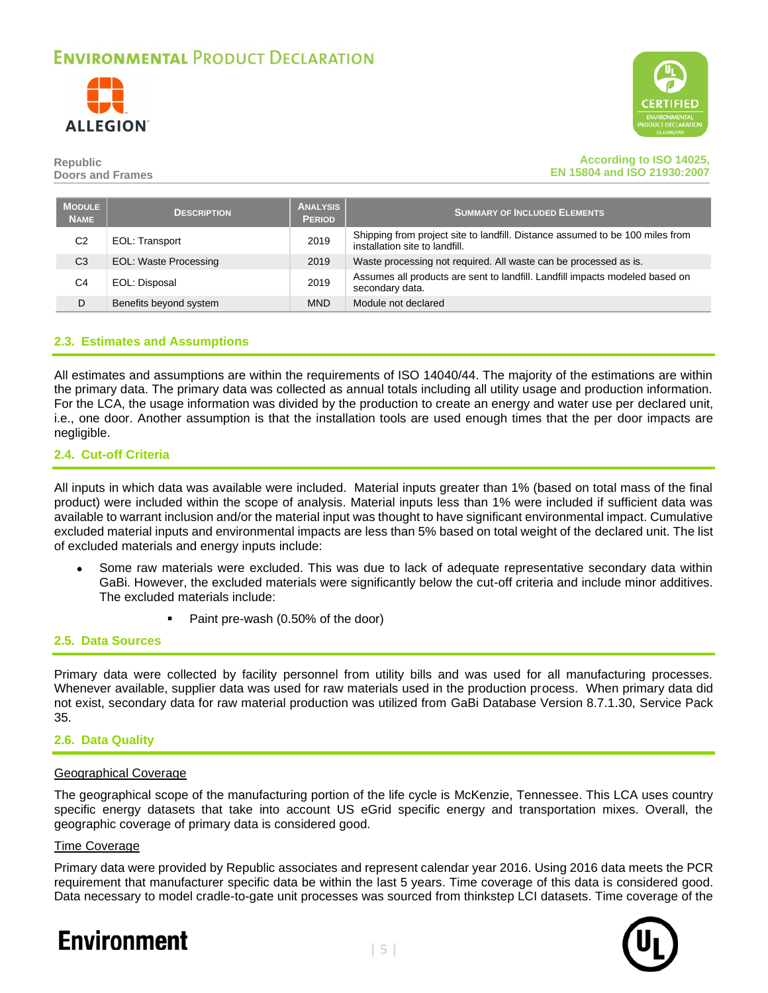



### **Republic Doors and Frames**

### **According to ISO 14025, EN 15804 and ISO 21930:2007**

| <b>MODULE</b><br><b>NAME</b> | <b>DESCRIPTION</b>           | <b>ANALYSIS</b><br><b>PERIOD</b> | <b>SUMMARY OF INCLUDED ELEMENTS</b>                                                                             |
|------------------------------|------------------------------|----------------------------------|-----------------------------------------------------------------------------------------------------------------|
| C <sub>2</sub>               | EOL: Transport               | 2019                             | Shipping from project site to landfill. Distance assumed to be 100 miles from<br>installation site to landfill. |
| C <sub>3</sub>               | <b>EOL: Waste Processing</b> | 2019                             | Waste processing not required. All waste can be processed as is.                                                |
| C4                           | EOL: Disposal                | 2019                             | Assumes all products are sent to landfill. Landfill impacts modeled based on<br>secondary data.                 |
| D                            | Benefits beyond system       | <b>MND</b>                       | Module not declared                                                                                             |

### **2.3. Estimates and Assumptions**

All estimates and assumptions are within the requirements of ISO 14040/44. The majority of the estimations are within the primary data. The primary data was collected as annual totals including all utility usage and production information. For the LCA, the usage information was divided by the production to create an energy and water use per declared unit, i.e., one door. Another assumption is that the installation tools are used enough times that the per door impacts are negligible.

### <span id="page-6-0"></span>**2.4. Cut-off Criteria**

All inputs in which data was available were included. Material inputs greater than 1% (based on total mass of the final product) were included within the scope of analysis. Material inputs less than 1% were included if sufficient data was available to warrant inclusion and/or the material input was thought to have significant environmental impact. Cumulative excluded material inputs and environmental impacts are less than 5% based on total weight of the declared unit. The list of excluded materials and energy inputs include:

- Some raw materials were excluded. This was due to lack of adequate representative secondary data within GaBi. However, the excluded materials were significantly below the cut-off criteria and include minor additives. The excluded materials include:
	- Paint pre-wash (0.50% of the door)

### **2.5. Data Sources**

Primary data were collected by facility personnel from utility bills and was used for all manufacturing processes. Whenever available, supplier data was used for raw materials used in the production process. When primary data did not exist, secondary data for raw material production was utilized from GaBi Database Version 8.7.1.30, Service Pack 35.

### **2.6. Data Quality**

### Geographical Coverage

The geographical scope of the manufacturing portion of the life cycle is McKenzie, Tennessee. This LCA uses country specific energy datasets that take into account US eGrid specific energy and transportation mixes. Overall, the geographic coverage of primary data is considered good.

### Time Coverage

Primary data were provided by Republic associates and represent calendar year 2016. Using 2016 data meets the PCR requirement that manufacturer specific data be within the last 5 years. Time coverage of this data is considered good. Data necessary to model cradle-to-gate unit processes was sourced from thinkstep LCI datasets. Time coverage of the

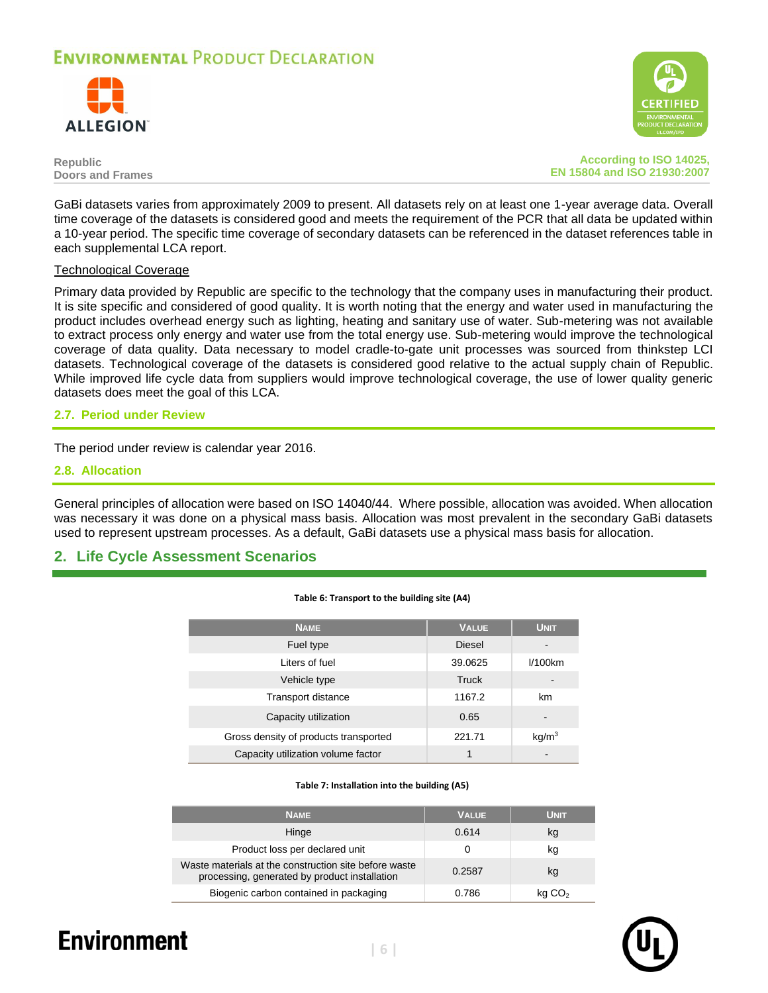



**Republic Doors and Frames**

**According to ISO 14025, EN 15804 and ISO 21930:2007**

GaBi datasets varies from approximately 2009 to present. All datasets rely on at least one 1-year average data. Overall time coverage of the datasets is considered good and meets the requirement of the PCR that all data be updated within a 10-year period. The specific time coverage of secondary datasets can be referenced in the dataset references table in each supplemental LCA report.

### Technological Coverage

Primary data provided by Republic are specific to the technology that the company uses in manufacturing their product. It is site specific and considered of good quality. It is worth noting that the energy and water used in manufacturing the product includes overhead energy such as lighting, heating and sanitary use of water. Sub-metering was not available to extract process only energy and water use from the total energy use. Sub-metering would improve the technological coverage of data quality. Data necessary to model cradle-to-gate unit processes was sourced from thinkstep LCI datasets. Technological coverage of the datasets is considered good relative to the actual supply chain of Republic. While improved life cycle data from suppliers would improve technological coverage, the use of lower quality generic datasets does meet the goal of this LCA.

### **2.7. Period under Review**

The period under review is calendar year 2016.

### <span id="page-7-0"></span>**2.8. Allocation**

General principles of allocation were based on ISO 14040/44. Where possible, allocation was avoided. When allocation was necessary it was done on a physical mass basis. Allocation was most prevalent in the secondary GaBi datasets used to represent upstream processes. As a default, GaBi datasets use a physical mass basis for allocation.

**Table 6: Transport to the building site (A4)**

### **2. Life Cycle Assessment Scenarios**

| <b>NAME</b>                           | <b>VALUE</b>  | <b>UNIT</b>       |
|---------------------------------------|---------------|-------------------|
| Fuel type                             | <b>Diesel</b> |                   |
| Liters of fuel                        | 39.0625       | $1/100$ km        |
| Vehicle type                          | <b>Truck</b>  |                   |
| Transport distance                    | 1167.2        | km                |
| Capacity utilization                  | 0.65          |                   |
| Gross density of products transported | 221.71        | kg/m <sup>3</sup> |
| Capacity utilization volume factor    | 1             |                   |

#### **Table 7: Installation into the building (A5)**

| <b>NAME</b>                                                                                            | <b>VALUE</b> | Unit               |
|--------------------------------------------------------------------------------------------------------|--------------|--------------------|
| Hinge                                                                                                  | 0.614        | kg                 |
| Product loss per declared unit                                                                         | 0            | kg                 |
| Waste materials at the construction site before waste<br>processing, generated by product installation | 0.2587       | kg                 |
| Biogenic carbon contained in packaging                                                                 | 0.786        | kq CO <sub>2</sub> |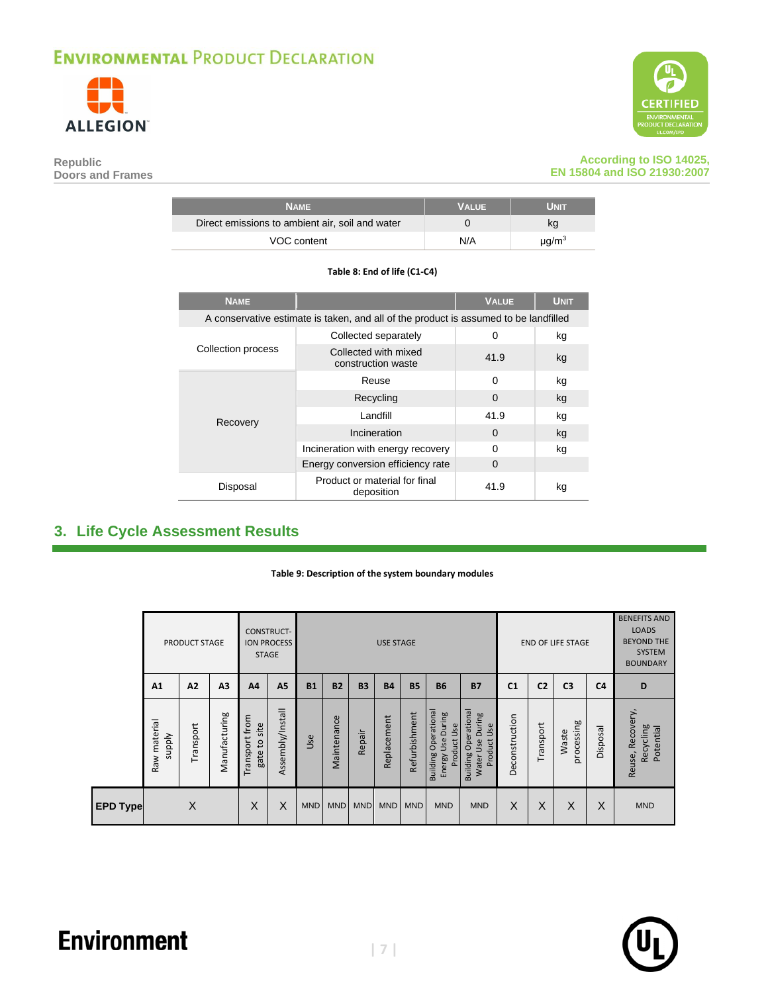

**Doors and Frames**

**Republic** 



### **According to ISO 14025, EN 15804 and ISO 21930:2007**

| <b>NAME</b>                                     | <b>VALUE</b> | Unit        |
|-------------------------------------------------|--------------|-------------|
| Direct emissions to ambient air, soil and water |              | κq          |
| VOC content                                     | N/A          | $\mu q/m^3$ |

### **Table 8: End of life (C1-C4)**

| <b>NAME</b>        |                                                                                      | <b>VALUE</b> | <b>UNIT</b> |
|--------------------|--------------------------------------------------------------------------------------|--------------|-------------|
|                    | A conservative estimate is taken, and all of the product is assumed to be landfilled |              |             |
|                    | Collected separately                                                                 | $\Omega$     | kg          |
| Collection process | Collected with mixed<br>construction waste                                           | 41.9         | kg          |
|                    | Reuse                                                                                | $\Omega$     | kg          |
|                    | Recycling                                                                            | $\Omega$     | kg          |
| Recovery           | I andfill                                                                            | 41.9         | kg          |
|                    | Incineration                                                                         | $\Omega$     | kg          |
|                    | Incineration with energy recovery                                                    | $\Omega$     | kg          |
|                    | Energy conversion efficiency rate                                                    | 0            |             |
| Disposal           | Product or material for final<br>deposition                                          | 41.9         | kg          |

### <span id="page-8-1"></span><span id="page-8-0"></span>**3. Life Cycle Assessment Results**

#### **Table 9: Description of the system boundary modules**

|                 |                               | <b>PRODUCT STAGE</b> |                | <b>STAGE</b>                   | <b>CONSTRUCT-</b><br><b>ION PROCESS</b> |            |             |            | <b>USE STAGE</b> |               |                                                                    |                                                                                   |                |                | <b>END OF LIFE STAGE</b> |                | <b>BENEFITS AND</b><br><b>LOADS</b><br><b>BEYOND THE</b><br>SYSTEM<br><b>BOUNDARY</b> |
|-----------------|-------------------------------|----------------------|----------------|--------------------------------|-----------------------------------------|------------|-------------|------------|------------------|---------------|--------------------------------------------------------------------|-----------------------------------------------------------------------------------|----------------|----------------|--------------------------|----------------|---------------------------------------------------------------------------------------|
|                 | A1                            | A2                   | A <sub>3</sub> | A <sub>4</sub>                 | A <sub>5</sub>                          | <b>B1</b>  | <b>B2</b>   | <b>B3</b>  | <b>B4</b>        | <b>B5</b>     | <b>B6</b>                                                          | <b>B7</b>                                                                         | C <sub>1</sub> | C <sub>2</sub> | C <sub>3</sub>           | C <sub>4</sub> | D                                                                                     |
|                 | Raw material<br><b>Alddns</b> | Transport            | Manufacturing  | Transport from<br>gate to site | Assembly/Install                        | Use        | Maintenance | Repair     | Replacement      | Refurbishment | Operational<br>During<br>Product Use<br>Usel<br>Building<br>Energy | <b>Operational</b><br>During<br>Use<br>Product<br>Use<br><b>Building</b><br>Water | Deconstruction | Transport      | processing<br>Waste      | Disposal       | Recovery,<br>Recycling<br>Potential<br>Reuse,                                         |
| <b>EPD Type</b> |                               | X                    |                | X                              | X                                       | <b>MND</b> | <b>MND</b>  | <b>MND</b> | <b>MND</b>       | <b>MND</b>    | <b>MND</b>                                                         | <b>MND</b>                                                                        | X              | X              | X                        | X              | <b>MND</b>                                                                            |

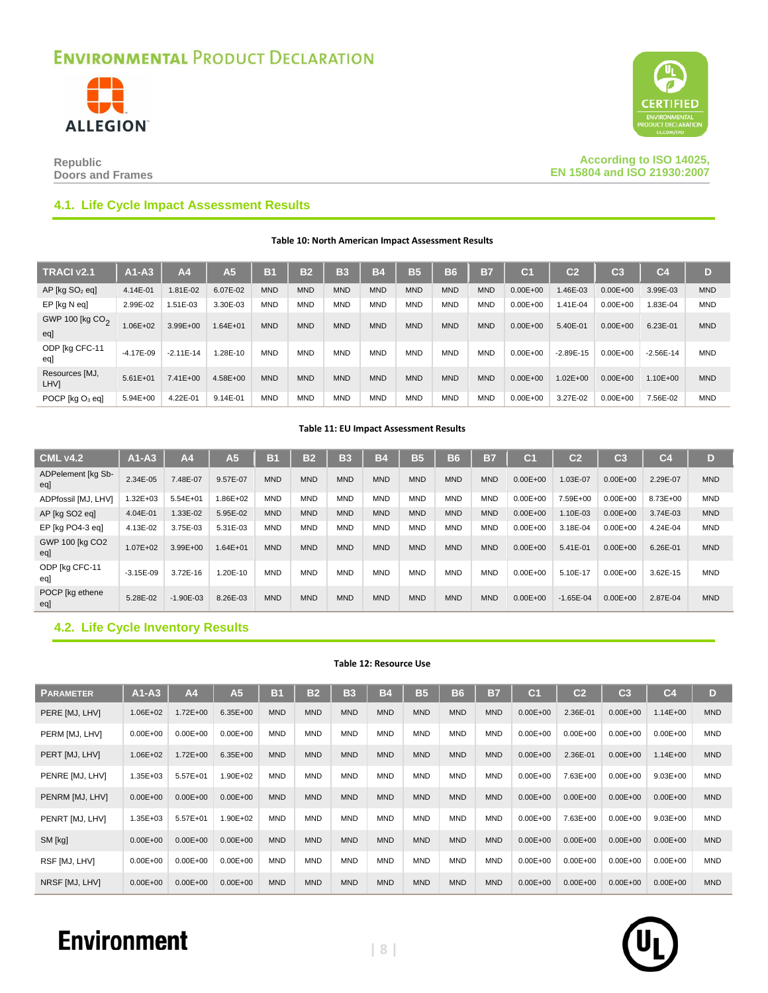



**Republic Doors and Frames**

**According to ISO 14025, EN 15804 and ISO 21930:2007**

### **4.1. Life Cycle Impact Assessment Results**

**Table 10: North American Impact Assessment Results**

| <b>TRACI v2.1</b>                  | $AA - A3$     | A <sub>4</sub> | A <sub>5</sub> | <b>B1</b>  | <b>B2</b>  | B <sub>3</sub> | B4         | 135        | <b>B6</b>  | <b>B7</b>  | C <sub>1</sub> | C <sub>2</sub> | C <sub>3</sub> | C <sub>4</sub> | D          |
|------------------------------------|---------------|----------------|----------------|------------|------------|----------------|------------|------------|------------|------------|----------------|----------------|----------------|----------------|------------|
| $AP$ [kg $SO2$ eq]                 | 4.14E-01      | $.81E-02$      | 6.07E-02       | <b>MND</b> | <b>MND</b> | <b>MND</b>     | <b>MND</b> | <b>MND</b> | <b>MND</b> | <b>MND</b> | $0.00E + 00$   | 1.46E-03       | $0.00E + 00$   | 3.99E-03       | <b>MND</b> |
| EP [kg N eq]                       | 2.99E-02      | 1.51E-03       | 3.30E-03       | <b>MND</b> | <b>MND</b> | <b>MND</b>     | <b>MND</b> | <b>MND</b> | <b>MND</b> | <b>MND</b> | $0.00E + 00$   | 1.41E-04       | $0.00E + 00$   | 1.83E-04       | <b>MND</b> |
| GWP 100 [kg CO <sub>2</sub><br>egl | 1.06E+02      | $3.99E + 00$   | $1.64E + 01$   | <b>MND</b> | <b>MND</b> | <b>MND</b>     | <b>MND</b> | <b>MND</b> | <b>MND</b> | <b>MND</b> | $0.00E + 00$   | 5.40E-01       | $0.00E + 00$   | 6.23E-01       | <b>MND</b> |
| ODP [kg CFC-11<br>eal              | $-4.17E - 09$ | $-2.11E-14$    | L28E-10        | <b>MND</b> | <b>MND</b> | <b>MND</b>     | <b>MND</b> | <b>MND</b> | <b>MND</b> | <b>MND</b> | $0.00E + 00$   | $-2.89E-15$    | $0.00E + 00$   | $-2.56E-14$    | <b>MND</b> |
| Resources [MJ,<br>LHV]             | $5.61E + 01$  | $7.41E + 00$   | 4.58E+00       | <b>MND</b> | <b>MND</b> | <b>MND</b>     | <b>MND</b> | <b>MND</b> | <b>MND</b> | <b>MND</b> | $0.00E + 00$   | $1.02E + 00$   | $0.00E + 00$   | $1.10E + 00$   | <b>MND</b> |
| POCP [kg O <sub>3</sub> eq]        | $5.94E + 00$  | 4.22E-01       | 9.14E-01       | <b>MND</b> | <b>MND</b> | <b>MND</b>     | <b>MND</b> | <b>MND</b> | <b>MND</b> | <b>MND</b> | $0.00E + 00$   | 3.27E-02       | $0.00E + 00$   | 7.56E-02       | <b>MND</b> |

#### **Table 11: EU Impact Assessment Results**

| <b>CML v4.2</b>           | $A1-A3$      | A <sub>4</sub> | A5       | B1         | <b>B2</b>  | <b>B3</b>  | Β4         | <b>B5</b>  | <b>B6</b>  | B7         | C <sub>1</sub> | $\overline{c}$ | $\overline{\text{c}}$ 3 | C <sub>4</sub> | D          |
|---------------------------|--------------|----------------|----------|------------|------------|------------|------------|------------|------------|------------|----------------|----------------|-------------------------|----------------|------------|
| ADPelement [kg Sb-<br>egl | 2.34E-05     | 7.48E-07       | 9.57E-07 | <b>MND</b> | <b>MND</b> | <b>MND</b> | <b>MND</b> | <b>MND</b> | <b>MND</b> | <b>MND</b> | $0.00E + 00$   | 1.03E-07       | $0.00E + 00$            | 2.29E-07       | <b>MND</b> |
| ADPfossil [MJ, LHV]       | 1.32E+03     | $5.54E + 01$   | 1.86E+02 | <b>MND</b> | <b>MND</b> | <b>MND</b> | <b>MND</b> | <b>MND</b> | <b>MND</b> | <b>MND</b> | $0.00E + 00$   | 7.59E+00       | $0.00E + 00$            | 8.73E+00       | <b>MND</b> |
| AP [kg SO2 eq]            | 4.04E-01     | 1.33E-02       | 5.95E-02 | <b>MND</b> | <b>MND</b> | <b>MND</b> | <b>MND</b> | <b>MND</b> | <b>MND</b> | <b>MND</b> | $0.00E + 00$   | 1.10E-03       | $0.00E + 00$            | 3.74E-03       | <b>MND</b> |
| EP [kg PO4-3 eq]          | 4.13E-02     | 3.75E-03       | 5.31E-03 | <b>MND</b> | <b>MND</b> | <b>MND</b> | <b>MND</b> | <b>MND</b> | <b>MND</b> | <b>MND</b> | $0.00E + 00$   | 3.18E-04       | $0.00E + 00$            | 4.24E-04       | <b>MND</b> |
| GWP 100 [kg CO2<br>egl    | $1.07E + 02$ | $3.99E + 00$   | 1.64E+01 | <b>MND</b> | <b>MND</b> | <b>MND</b> | <b>MND</b> | <b>MND</b> | <b>MND</b> | <b>MND</b> | $0.00E + 00$   | 5.41E-01       | $0.00E + 00$            | 6.26E-01       | <b>MND</b> |
| ODP [kg CFC-11<br>eq      | $-3.15E-09$  | 3.72E-16       | 1.20E-10 | <b>MND</b> | <b>MND</b> | <b>MND</b> | <b>MND</b> | <b>MND</b> | <b>MND</b> | <b>MND</b> | $0.00E + 00$   | 5.10E-17       | $0.00E + 00$            | 3.62E-15       | <b>MND</b> |
| POCP [kg ethene<br>egl    | 5.28E-02     | $-1.90E - 03$  | 8.26E-03 | <b>MND</b> | <b>MND</b> | <b>MND</b> | <b>MND</b> | <b>MND</b> | <b>MND</b> | <b>MND</b> | $0.00E + 00$   | $-1.65E - 04$  | $0.00E + 00$            | 2.87E-04       | <b>MND</b> |

### **4.2. Life Cycle Inventory Results**

### **Table 12: Resource Use**

| <b>PARAMETER</b> | $A1 - A3$    | A <sub>4</sub> | A <sub>5</sub> | B <sub>1</sub> | <b>B2</b>  | <b>B3</b>  | Β4         | <b>B5</b>  | <b>B6</b>  | <b>B7</b>  | C <sub>1</sub> | C <sub>2</sub> | C <sub>3</sub> | C <sub>4</sub> | D          |
|------------------|--------------|----------------|----------------|----------------|------------|------------|------------|------------|------------|------------|----------------|----------------|----------------|----------------|------------|
| PERE [MJ, LHV]   | 1.06E+02     | $1.72E + 00$   | $6.35E + 00$   | <b>MND</b>     | <b>MND</b> | <b>MND</b> | <b>MND</b> | <b>MND</b> | <b>MND</b> | <b>MND</b> | $0.00E + 00$   | 2.36E-01       | $0.00E + 00$   | $1.14E + 00$   | <b>MND</b> |
| PERM [MJ, LHV]   | $0.00E + 00$ | $0.00E + 00$   | $0.00E + 00$   | <b>MND</b>     | <b>MND</b> | <b>MND</b> | <b>MND</b> | <b>MND</b> | <b>MND</b> | <b>MND</b> | $0.00E + 00$   | $0.00E + 00$   | $0.00E + 00$   | $0.00E + 00$   | <b>MND</b> |
| PERT [MJ, LHV]   | 1.06E+02     | $1.72E + 00$   | $6.35E + 00$   | <b>MND</b>     | <b>MND</b> | <b>MND</b> | <b>MND</b> | <b>MND</b> | <b>MND</b> | <b>MND</b> | $0.00E + 00$   | 2.36E-01       | $0.00E + 00$   | $1.14E + 00$   | <b>MND</b> |
| PENRE [MJ, LHV]  | $1.35E + 03$ | $5.57E + 01$   | 1.90E+02       | <b>MND</b>     | <b>MND</b> | <b>MND</b> | <b>MND</b> | <b>MND</b> | <b>MND</b> | <b>MND</b> | $0.00E + 00$   | 7.63E+00       | $0.00E + 00$   | $9.03E + 00$   | <b>MND</b> |
| PENRM [MJ, LHV]  | $0.00E + 00$ | $0.00E + 00$   | $0.00E + 00$   | <b>MND</b>     | <b>MND</b> | <b>MND</b> | <b>MND</b> | <b>MND</b> | <b>MND</b> | <b>MND</b> | $0.00E + 00$   | $0.00E + 00$   | $0.00E + 00$   | $0.00E + 00$   | <b>MND</b> |
| PENRT [MJ, LHV]  | $1.35E + 03$ | $5.57E + 01$   | 1.90E+02       | <b>MND</b>     | <b>MND</b> | <b>MND</b> | <b>MND</b> | <b>MND</b> | <b>MND</b> | <b>MND</b> | $0.00E + 00$   | 7.63E+00       | $0.00E + 00$   | $9.03E + 00$   | <b>MND</b> |
| SM [kg]          | $0.00E + 00$ | $0.00E + 00$   | $0.00E + 00$   | <b>MND</b>     | <b>MND</b> | <b>MND</b> | <b>MND</b> | <b>MND</b> | <b>MND</b> | <b>MND</b> | $0.00E + 00$   | $0.00E + 00$   | $0.00E + 00$   | $0.00E + 00$   | <b>MND</b> |
| RSF [MJ, LHV]    | $0.00E + 00$ | $0.00E + 00$   | $0.00E + 00$   | <b>MND</b>     | <b>MND</b> | <b>MND</b> | <b>MND</b> | <b>MND</b> | <b>MND</b> | <b>MND</b> | $0.00E + 00$   | $0.00E + 00$   | $0.00E + 00$   | $0.00E + 00$   | <b>MND</b> |
| NRSF [MJ, LHV]   | $0.00E + 00$ | $0.00E + 00$   | $0.00E + 00$   | <b>MND</b>     | <b>MND</b> | <b>MND</b> | <b>MND</b> | <b>MND</b> | <b>MND</b> | <b>MND</b> | $0.00E + 00$   | $0.00E + 00$   | $0.00E + 00$   | $0.00E + 00$   | <b>MND</b> |

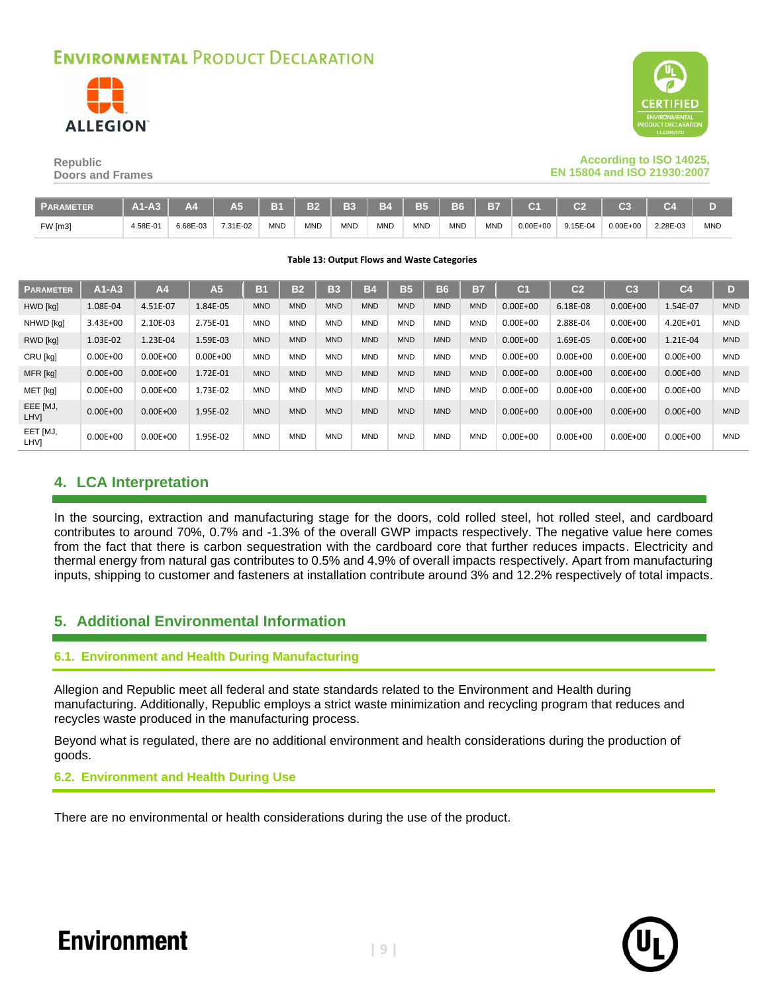



### **According to ISO 14025, EN 15804 and ISO 21930:2007**

| <b>Republic</b>         |  |
|-------------------------|--|
| <b>Doors and Frames</b> |  |

| <b>PARAMETER</b> | $A1-A3$  | A <sub>4</sub> | A <sub>5</sub> | <b>B</b>   | <b>B2</b>  | <b>B3</b>  | <b>B4</b> L | 7 B5 K     | B6   B7    |            | C <sub>1</sub> | C <sub>2</sub> | C <sub>3</sub> | r.       |            |
|------------------|----------|----------------|----------------|------------|------------|------------|-------------|------------|------------|------------|----------------|----------------|----------------|----------|------------|
| <b>FW</b> [m3]   | 4.58E-01 | 6.68E-03       | 7.31E-02       | <b>MND</b> | <b>MND</b> | <b>MND</b> | <b>MND</b>  | <b>MND</b> | <b>MND</b> | <b>MND</b> | $0.00E + 00$   | 9.15E-04       | $0.00E + 00$   | 2.28E-03 | <b>MND</b> |

#### **Table 13: Output Flows and Waste Categories**

| <b>PARAMETER</b>        | $A1 - A3$    | A <sub>4</sub> | A <sub>5</sub> | B1         | B <sub>2</sub> | <b>B3</b>  | <b>B4</b>  | <b>B5</b>  | <b>B6</b>  | B7         | C <sub>1</sub> | C <sub>2</sub> | C <sub>3</sub> | C <sub>4</sub> | D          |
|-------------------------|--------------|----------------|----------------|------------|----------------|------------|------------|------------|------------|------------|----------------|----------------|----------------|----------------|------------|
| HWD [kg]                | 1.08E-04     | 4.51E-07       | 1.84E-05       | <b>MND</b> | <b>MND</b>     | <b>MND</b> | <b>MND</b> | <b>MND</b> | <b>MND</b> | <b>MND</b> | $0.00E + 00$   | 6.18E-08       | $0.00E + 00$   | 1.54E-07       | <b>MND</b> |
| NHWD [kg]               | $3.43E + 00$ | 2.10E-03       | 2.75E-01       | <b>MND</b> | <b>MND</b>     | <b>MND</b> | <b>MND</b> | <b>MND</b> | <b>MND</b> | <b>MND</b> | $0.00E + 00$   | 2.88E-04       | $0.00E + 00$   | 4.20E+01       | <b>MND</b> |
| RWD [kg]                | 1.03E-02     | 1.23E-04       | 1.59E-03       | <b>MND</b> | <b>MND</b>     | <b>MND</b> | <b>MND</b> | <b>MND</b> | <b>MND</b> | <b>MND</b> | $0.00E + 00$   | 1.69E-05       | $0.00E + 00$   | 1.21E-04       | <b>MND</b> |
| CRU [kg]                | $0.00E + 00$ | $0.00E + 00$   | $0.00E + 00$   | <b>MND</b> | <b>MND</b>     | <b>MND</b> | <b>MND</b> | <b>MND</b> | <b>MND</b> | <b>MND</b> | $0.00E + 00$   | $0.00E + 00$   | $0.00E + 00$   | $0.00E + 00$   | <b>MND</b> |
| MFR [kg]                | $0.00E + 00$ | $0.00E + 00$   | 1.72E-01       | <b>MND</b> | <b>MND</b>     | <b>MND</b> | <b>MND</b> | <b>MND</b> | <b>MND</b> | <b>MND</b> | $0.00E + 00$   | $0.00E + 00$   | $0.00E + 00$   | $0.00E + 00$   | <b>MND</b> |
| MET [kg]                | $0.00E + 00$ | $0.00E + 00$   | 1.73E-02       | <b>MND</b> | <b>MND</b>     | <b>MND</b> | <b>MND</b> | <b>MND</b> | <b>MND</b> | <b>MND</b> | $0.00E + 00$   | $0.00E + 00$   | $0.00E + 00$   | $0.00E + 00$   | <b>MND</b> |
| EEE [MJ,<br>LHV]        | $0.00E + 00$ | $0.00E + 00$   | 1.95E-02       | <b>MND</b> | <b>MND</b>     | <b>MND</b> | <b>MND</b> | <b>MND</b> | <b>MND</b> | <b>MND</b> | $0.00E + 00$   | $0.00E + 00$   | $0.00E + 00$   | $0.00E + 00$   | <b>MND</b> |
| EET [MJ,<br><b>LHVI</b> | $0.00E + 00$ | $0.00E + 00$   | 1.95E-02       | <b>MND</b> | <b>MND</b>     | <b>MND</b> | <b>MND</b> | <b>MND</b> | <b>MND</b> | <b>MND</b> | $0.00E + 00$   | $0.00E + 00$   | $0.00E + 00$   | $0.00E + 00$   | <b>MND</b> |

### **4. LCA Interpretation**

In the sourcing, extraction and manufacturing stage for the doors, cold rolled steel, hot rolled steel, and cardboard contributes to around 70%, 0.7% and -1.3% of the overall GWP impacts respectively. The negative value here comes from the fact that there is carbon sequestration with the cardboard core that further reduces impacts. Electricity and thermal energy from natural gas contributes to 0.5% and 4.9% of overall impacts respectively. Apart from manufacturing inputs, shipping to customer and fasteners at installation contribute around 3% and 12.2% respectively of total impacts.

### **5. Additional Environmental Information**

### **6.1. Environment and Health During Manufacturing**

Allegion and Republic meet all federal and state standards related to the Environment and Health during manufacturing. Additionally, Republic employs a strict waste minimization and recycling program that reduces and recycles waste produced in the manufacturing process.

Beyond what is regulated, there are no additional environment and health considerations during the production of goods.

### **6.2. Environment and Health During Use**

There are no environmental or health considerations during the use of the product.